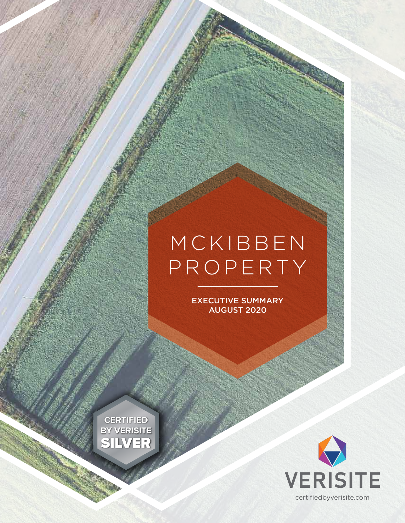# M C K I B B E N PROPERTY

EXECUTIVE SUMMARY AUGUST 2020

**CERTIFIED BY VERISITE** SILVER

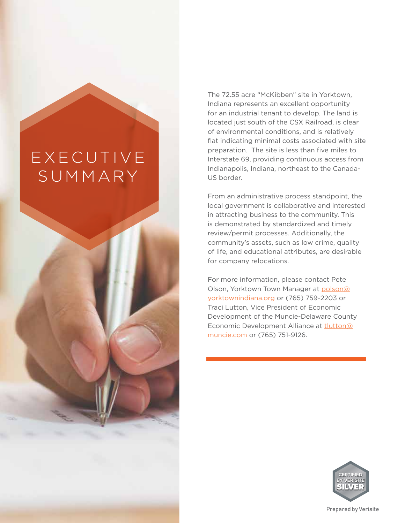## **EXECUTIVE** SUMMARY

2  $\mu$  = 2  $\mu$  = 2  $\mu$  = 2  $\mu$  = 2  $\mu$  = 2  $\mu$  = 2  $\mu$  = 2  $\mu$  = 2  $\mu$  = 2  $\mu$  = 2  $\mu$  = 2  $\mu$  = 2  $\mu$  = 2  $\mu$  = 2  $\mu$  = 2  $\mu$  = 2  $\mu$  = 2  $\mu$  = 2  $\mu$  = 2  $\mu$  = 2  $\mu$  = 2  $\mu$  = 2  $\mu$  = 2  $\mu$  = 2  $\mu$ The 72.55 acre "McKibben" site in Yorktown, Indiana represents an excellent opportunity for an industrial tenant to develop. The land is located just south of the CSX Railroad, is clear of environmental conditions, and is relatively flat indicating minimal costs associated with site preparation. The site is less than five miles to Interstate 69, providing continuous access from Indianapolis, Indiana, northeast to the Canada-US border.

From an administrative process standpoint, the local government is collaborative and interested in attracting business to the community. This is demonstrated by standardized and timely review/permit processes. Additionally, the community's assets, such as low crime, quality of life, and educational attributes, are desirable for company relocations.

For more information, please contact Pete Olson, Yorktown Town Manager at polson@ yorktownindiana.org or (765) 759-2203 or Traci Lutton, Vice President of Economic Development of the Muncie-Delaware County Economic Development Alliance at tlutton@ muncie.com or (765) 751-9126.

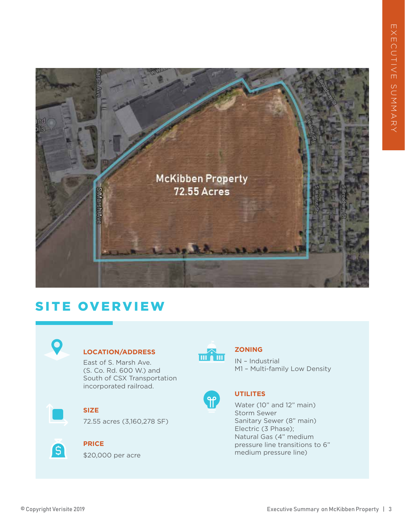

### SITE OVERVIEW



#### **LOCATION/ADDRESS**

East of S. Marsh Ave. (S. Co. Rd. 600 W.) and South of CSX Transportation incorporated railroad.



#### **SIZE**

72.55 acres (3,160,278 SF)



#### **PRICE**

\$20,000 per acre



#### **ZONING**

IN – Industrial M1 – Multi-family Low Density



#### **UTILITES**

Water (10" and 12" main) Storm Sewer Sanitary Sewer (8" main) Electric (3 Phase); Natural Gas (4" medium pressure line transitions to 6" medium pressure line)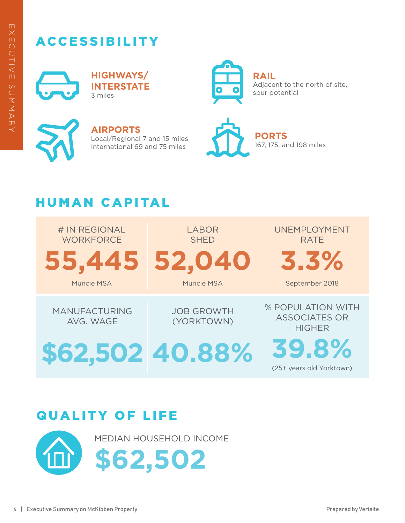### ACCESSIBILITY



**HIGHWAYS/ INTERSTATE** 3 miles



**RAIL** Adjacent to the north of site, spur potential



**AIRPORTS** Local/Regional 7 and 15 miles International 69 and 75 miles



**PORTS** 167, 175, and 198 miles

### HUMAN CAPITAL



### QUALITY OF LIFE

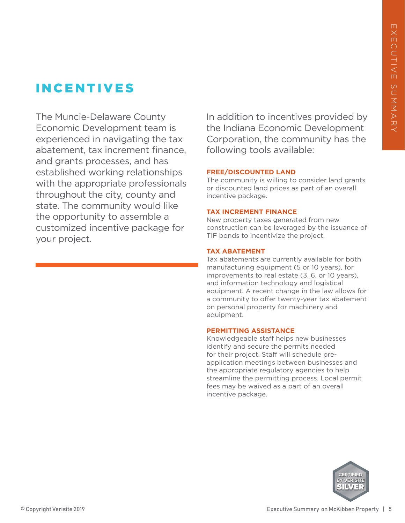### INCENTIVES

The Muncie-Delaware County Economic Development team is experienced in navigating the tax abatement, tax increment finance, and grants processes, and has established working relationships with the appropriate professionals throughout the city, county and state. The community would like the opportunity to assemble a customized incentive package for your project.

In addition to incentives provided by the Indiana Economic Development Corporation, the community has the following tools available:

#### **FREE/DISCOUNTED LAND**

The community is willing to consider land grants or discounted land prices as part of an overall incentive package.

#### **TAX INCREMENT FINANCE**

New property taxes generated from new construction can be leveraged by the issuance of TIF bonds to incentivize the project.

#### **TAX ABATEMENT**

Tax abatements are currently available for both manufacturing equipment (5 or 10 years), for improvements to real estate (3, 6, or 10 years), and information technology and logistical equipment. A recent change in the law allows for a community to offer twenty-year tax abatement on personal property for machinery and equipment.

#### **PERMITTING ASSISTANCE**

Knowledgeable staff helps new businesses identify and secure the permits needed for their project. Staff will schedule preapplication meetings between businesses and the appropriate regulatory agencies to help streamline the permitting process. Local permit fees may be waived as a part of an overall incentive package.

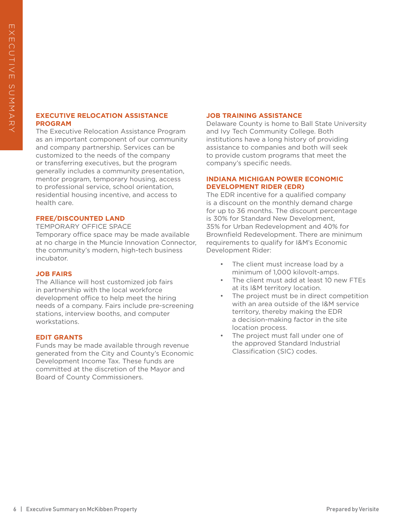#### **EXECUTIVE RELOCATION ASSISTANCE PROGRAM**

**EXECUTIVE BELOCATION ASSISTANCE**<br>
SPECIALITY CONTINUES ASSISTANCE<br>
THE DROW-INVERSION ASSISTANCE<br>
THE DROW-INVERSION CONTINUES CONDUCT INTO THE SUMMARY ON THE SUMMARY ON THE SUMMARY ON THE SUMMARY ON THE SUMMARY ON THE S The Executive Relocation Assistance Program as an important component of our community and company partnership. Services can be customized to the needs of the company or transferring executives, but the program generally includes a community presentation, mentor program, temporary housing, access to professional service, school orientation, residential housing incentive, and access to health care.

#### **FREE/DISCOUNTED LAND**

TEMPORARY OFFICE SPACE Temporary office space may be made available at no charge in the Muncie Innovation Connector, the community's modern, high-tech business incubator.

#### **JOB FAIRS**

The Alliance will host customized job fairs in partnership with the local workforce development office to help meet the hiring needs of a company. Fairs include pre-screening stations, interview booths, and computer workstations.

#### **EDIT GRANTS**

Funds may be made available through revenue generated from the City and County's Economic Development Income Tax. These funds are committed at the discretion of the Mayor and Board of County Commissioners.

#### **JOB TRAINING ASSISTANCE**

Delaware County is home to Ball State University and Ivy Tech Community College. Both institutions have a long history of providing assistance to companies and both will seek to provide custom programs that meet the company's specific needs.

#### **INDIANA MICHIGAN POWER ECONOMIC DEVELOPMENT RIDER (EDR)**

The EDR incentive for a qualified company is a discount on the monthly demand charge for up to 36 months. The discount percentage is 30% for Standard New Development, 35% for Urban Redevelopment and 40% for Brownfield Redevelopment. There are minimum requirements to qualify for I&M's Economic Development Rider:

- The client must increase load by a minimum of 1,000 kilovolt-amps.
- The client must add at least 10 new FTEs at its I&M territory location.
- The project must be in direct competition with an area outside of the I&M service territory, thereby making the EDR a decision-making factor in the site location process.
- The project must fall under one of the approved Standard Industrial Classification (SIC) codes.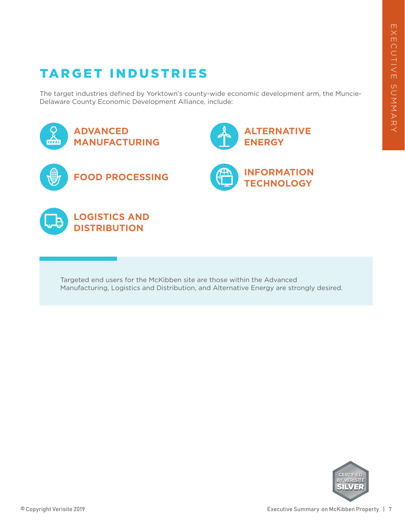### TARGET INDUSTRIES

The target industries defined by Yorktown's county-wide economic development arm, the Muncie-Delaware County Economic Development Alliance, include:



Targeted end users for the McKibben site are those within the Advanced Manufacturing, Logistics and Distribution, and Alternative Energy are strongly desired.

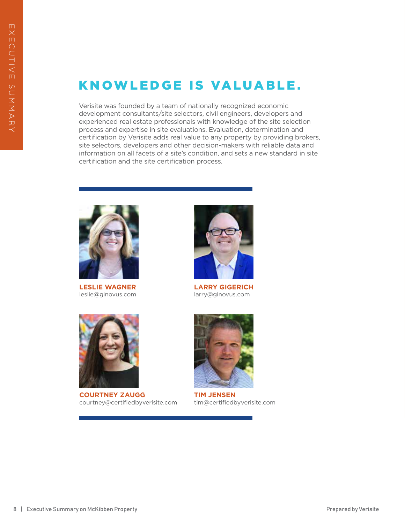### KNOWLEDGE IS VALUABLE.

8 | Executive Summary on McKibben Property Property Property Property Property Property Property Property Property Property Property Property Property Property Property Property Property Property Property Property Property Verisite was founded by a team of nationally recognized economic development consultants/site selectors, civil engineers, developers and experienced real estate professionals with knowledge of the site selection process and expertise in site evaluations. Evaluation, determination and certification by Verisite adds real value to any property by providing brokers, site selectors, developers and other decision-makers with reliable data and information on all facets of a site's condition, and sets a new standard in site certification and the site certification process.



**LESLIE WAGNER** leslie@ginovus.com



**COURTNEY ZAUGG** courtney@certifiedbyverisite.com



**LARRY GIGERICH** larry@ginovus.com



**TIM JENSEN** tim@certifiedbyverisite.com